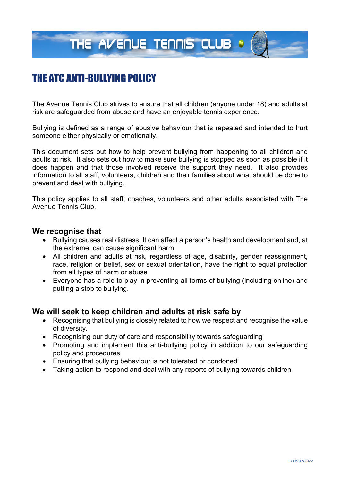THE AVENUE TENNIS CLUB &

# THE ATC ANTI-BULLYING POLICY

The Avenue Tennis Club strives to ensure that all children (anyone under 18) and adults at risk are safeguarded from abuse and have an enjoyable tennis experience.

Bullying is defined as a range of abusive behaviour that is repeated and intended to hurt someone either physically or emotionally.

This document sets out how to help prevent bullying from happening to all children and adults at risk. It also sets out how to make sure bullying is stopped as soon as possible if it does happen and that those involved receive the support they need. It also provides information to all staff, volunteers, children and their families about what should be done to prevent and deal with bullying.

This policy applies to all staff, coaches, volunteers and other adults associated with The Avenue Tennis Club.

#### **We recognise that**

- Bullying causes real distress. It can affect a person's health and development and, at the extreme, can cause significant harm
- All children and adults at risk, regardless of age, disability, gender reassignment, race, religion or belief, sex or sexual orientation, have the right to equal protection from all types of harm or abuse
- Everyone has a role to play in preventing all forms of bullying (including online) and putting a stop to bullying.

#### **We will seek to keep children and adults at risk safe by**

- Recognising that bullying is closely related to how we respect and recognise the value of diversity.
- Recognising our duty of care and responsibility towards safeguarding
- Promoting and implement this anti-bullying policy in addition to our safeguarding policy and procedures
- Ensuring that bullying behaviour is not tolerated or condoned
- Taking action to respond and deal with any reports of bullying towards children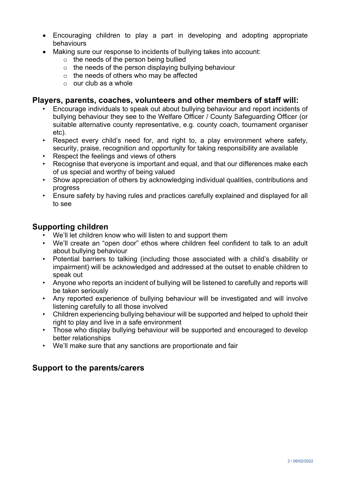- Encouraging children to play a part in developing and adopting appropriate behaviours
- Making sure our response to incidents of bullying takes into account:
	- o the needs of the person being bullied
	- $\circ$  the needs of the person displaying bullying behaviour
	- $\circ$  the needs of others who may be affected
	- $\circ$  our club as a whole

## **Players, parents, coaches, volunteers and other members of staff will:**

- Encourage individuals to speak out about bullying behaviour and report incidents of bullying behaviour they see to the Welfare Officer / County Safeguarding Officer (or suitable alternative county representative, e.g. county coach, tournament organiser etc).
- Respect every child's need for, and right to, a play environment where safety, security, praise, recognition and opportunity for taking responsibility are available
- Respect the feelings and views of others
- Recognise that everyone is important and equal, and that our differences make each of us special and worthy of being valued
- Show appreciation of others by acknowledging individual qualities, contributions and progress
- Ensure safety by having rules and practices carefully explained and displayed for all to see

## **Supporting children**

- We'll let children know who will listen to and support them
- We'll create an "open door" ethos where children feel confident to talk to an adult about bullying behaviour
- Potential barriers to talking (including those associated with a child's disability or impairment) will be acknowledged and addressed at the outset to enable children to speak out
- Anyone who reports an incident of bullying will be listened to carefully and reports will be taken seriously
- Any reported experience of bullying behaviour will be investigated and will involve listening carefully to all those involved
- Children experiencing bullying behaviour will be supported and helped to uphold their right to play and live in a safe environment
- Those who display bullying behaviour will be supported and encouraged to develop better relationships
- We'll make sure that any sanctions are proportionate and fair

## **Support to the parents/carers**